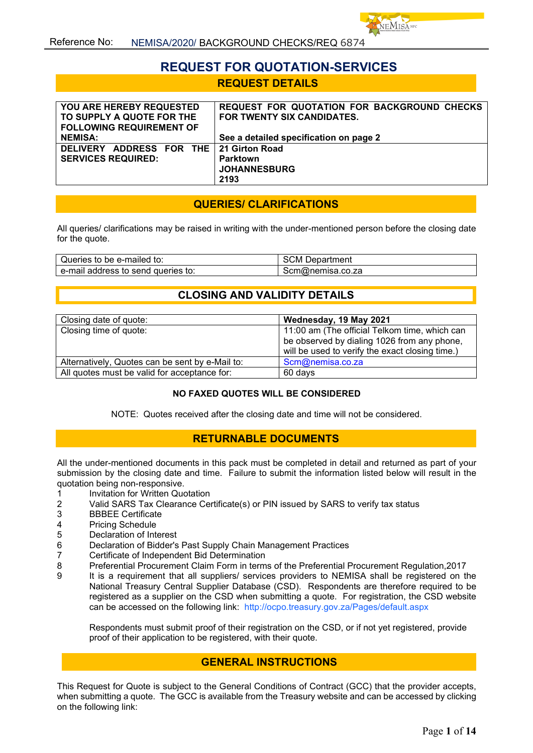# **REQUEST FOR QUOTATION-SERVICES REQUEST DETAILS**

| <b>YOU ARE HEREBY REQUESTED</b>         | REQUEST FOR QUOTATION FOR BACKGROUND CHECKS |
|-----------------------------------------|---------------------------------------------|
| TO SUPPLY A QUOTE FOR THE               | FOR TWENTY SIX CANDIDATES.                  |
| <b>FOLLOWING REQUIREMENT OF</b>         |                                             |
| <b>NEMISA:</b>                          | See a detailed specification on page 2      |
| DELIVERY ADDRESS FOR THE 21 Girton Road |                                             |
| <b>SERVICES REQUIRED:</b>               | <b>Parktown</b>                             |
|                                         | <b>JOHANNESBURG</b>                         |
|                                         | 2193                                        |

## **QUERIES/ CLARIFICATIONS**

All queries/ clarifications may be raised in writing with the under-mentioned person before the closing date for the quote.

| Queries to be e-mailed to:            | SCM<br>Department |
|---------------------------------------|-------------------|
| e-mail address to send<br>aueries to: | scm@nemisa.co.za  |

## **CLOSING AND VALIDITY DETAILS**

| Closing date of quote:                          | Wednesday, 19 May 2021                          |
|-------------------------------------------------|-------------------------------------------------|
| Closing time of quote:                          | 11:00 am (The official Telkom time, which can   |
|                                                 | be observed by dialing 1026 from any phone,     |
|                                                 | will be used to verify the exact closing time.) |
| Alternatively, Quotes can be sent by e-Mail to: | Scm@nemisa.co.za                                |
| All quotes must be valid for acceptance for:    | 60 days                                         |

#### **NO FAXED QUOTES WILL BE CONSIDERED**

NOTE: Quotes received after the closing date and time will not be considered.

## **RETURNABLE DOCUMENTS**

All the under-mentioned documents in this pack must be completed in detail and returned as part of your submission by the closing date and time. Failure to submit the information listed below will result in the quotation being non-responsive.

- 1 Invitation for Written Quotation<br>2 Valid SARS Tax Clearance Cer
- 2 Valid SARS Tax Clearance Certificate(s) or PIN issued by SARS to verify tax status
- 3 BBBEE Certificate
- 4 Pricing Schedule<br>5 Declaration of Int
- 5 Declaration of Interest
- 6 Declaration of Bidder's Past Supply Chain Management Practices
- 7 Certificate of Independent Bid Determination<br>8 Preferential Procurement Claim Form in term
- 8 Preferential Procurement Claim Form in terms of the Preferential Procurement Regulation,2017
- 9 It is a requirement that all suppliers/ services providers to NEMISA shall be registered on the National Treasury Central Supplier Database (CSD). Respondents are therefore required to be registered as a supplier on the CSD when submitting a quote. For registration, the CSD website can be accessed on the following link: <http://ocpo.treasury.gov.za/Pages/default.aspx>

Respondents must submit proof of their registration on the CSD, or if not yet registered, provide proof of their application to be registered, with their quote.

## **GENERAL INSTRUCTIONS**

This Request for Quote is subject to the General Conditions of Contract (GCC) that the provider accepts, when submitting a quote. The GCC is available from the Treasury website and can be accessed by clicking on the following link: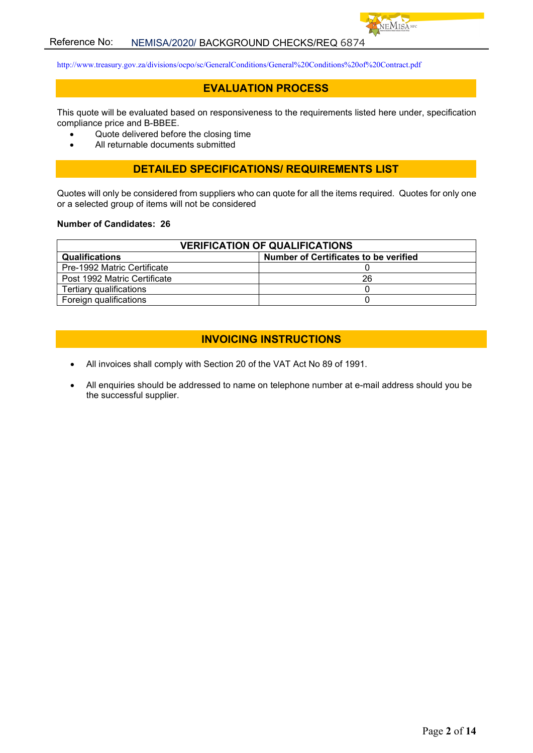

<http://www.treasury.gov.za/divisions/ocpo/sc/GeneralConditions/General%20Conditions%20of%20Contract.pdf>

## **EVALUATION PROCESS**

This quote will be evaluated based on responsiveness to the requirements listed here under, specification compliance price and B-BBEE.

- Quote delivered before the closing time
- All returnable documents submitted

#### **DETAILED SPECIFICATIONS/ REQUIREMENTS LIST**

Quotes will only be considered from suppliers who can quote for all the items required. Quotes for only one or a selected group of items will not be considered

#### **Number of Candidates: 26**

| <b>VERIFICATION OF QUALIFICATIONS</b>                          |    |  |
|----------------------------------------------------------------|----|--|
| Number of Certificates to be verified<br><b>Qualifications</b> |    |  |
| Pre-1992 Matric Certificate                                    |    |  |
| Post 1992 Matric Certificate                                   | 26 |  |
| Tertiary qualifications                                        |    |  |
| Foreign qualifications                                         |    |  |

## **INVOICING INSTRUCTIONS**

- All invoices shall comply with Section 20 of the VAT Act No 89 of 1991.
- All enquiries should be addressed to name on telephone number at e-mail address should you be the successful supplier.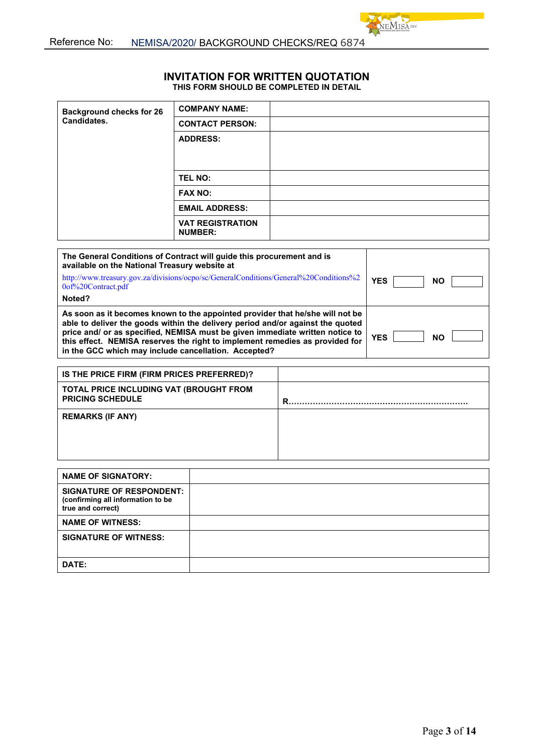**DATE:**

#### **INVITATION FOR WRITTEN QUOTATION THIS FORM SHOULD BE COMPLETED IN DETAIL**

NEMISANE

| <b>Background checks for 26</b>                                                                                                                                                                                                                                                                                                                                                         | <b>COMPANY NAME:</b>                      |                         |
|-----------------------------------------------------------------------------------------------------------------------------------------------------------------------------------------------------------------------------------------------------------------------------------------------------------------------------------------------------------------------------------------|-------------------------------------------|-------------------------|
| Candidates.                                                                                                                                                                                                                                                                                                                                                                             | <b>CONTACT PERSON:</b>                    |                         |
|                                                                                                                                                                                                                                                                                                                                                                                         | <b>ADDRESS:</b>                           |                         |
|                                                                                                                                                                                                                                                                                                                                                                                         |                                           |                         |
|                                                                                                                                                                                                                                                                                                                                                                                         |                                           |                         |
|                                                                                                                                                                                                                                                                                                                                                                                         | TEL NO:                                   |                         |
|                                                                                                                                                                                                                                                                                                                                                                                         | <b>FAX NO:</b>                            |                         |
|                                                                                                                                                                                                                                                                                                                                                                                         | <b>EMAIL ADDRESS:</b>                     |                         |
|                                                                                                                                                                                                                                                                                                                                                                                         | <b>VAT REGISTRATION</b><br><b>NUMBER:</b> |                         |
| The General Conditions of Contract will guide this procurement and is<br>available on the National Treasury website at                                                                                                                                                                                                                                                                  |                                           |                         |
| http://www.treasury.gov.za/divisions/ocpo/sc/GeneralConditions/General%20Conditions%2<br>0of%20Contract.pdf                                                                                                                                                                                                                                                                             |                                           | <b>YES</b><br><b>NO</b> |
| Noted?                                                                                                                                                                                                                                                                                                                                                                                  |                                           |                         |
| As soon as it becomes known to the appointed provider that he/she will not be<br>able to deliver the goods within the delivery period and/or against the quoted<br>price and/ or as specified, NEMISA must be given immediate written notice to<br>this effect. NEMISA reserves the right to implement remedies as provided for<br>in the GCC which may include cancellation. Accepted? |                                           | <b>YES</b><br><b>NO</b> |
|                                                                                                                                                                                                                                                                                                                                                                                         |                                           |                         |
| IS THE PRICE FIRM (FIRM PRICES PREFERRED)?                                                                                                                                                                                                                                                                                                                                              |                                           |                         |
| TOTAL PRICE INCLUDING VAT (BROUGHT FROM<br><b>PRICING SCHEDULE</b>                                                                                                                                                                                                                                                                                                                      |                                           |                         |
| <b>REMARKS (IF ANY)</b>                                                                                                                                                                                                                                                                                                                                                                 |                                           |                         |
|                                                                                                                                                                                                                                                                                                                                                                                         |                                           |                         |
|                                                                                                                                                                                                                                                                                                                                                                                         |                                           |                         |
|                                                                                                                                                                                                                                                                                                                                                                                         |                                           |                         |
| <b>NAME OF SIGNATORY:</b>                                                                                                                                                                                                                                                                                                                                                               |                                           |                         |
| <b>SIGNATURE OF RESPONDENT:</b><br>(confirming all information to be<br>true and correct)                                                                                                                                                                                                                                                                                               |                                           |                         |
| <b>NAME OF WITNESS:</b>                                                                                                                                                                                                                                                                                                                                                                 |                                           |                         |
| <b>SIGNATURE OF WITNESS:</b>                                                                                                                                                                                                                                                                                                                                                            |                                           |                         |
|                                                                                                                                                                                                                                                                                                                                                                                         |                                           |                         |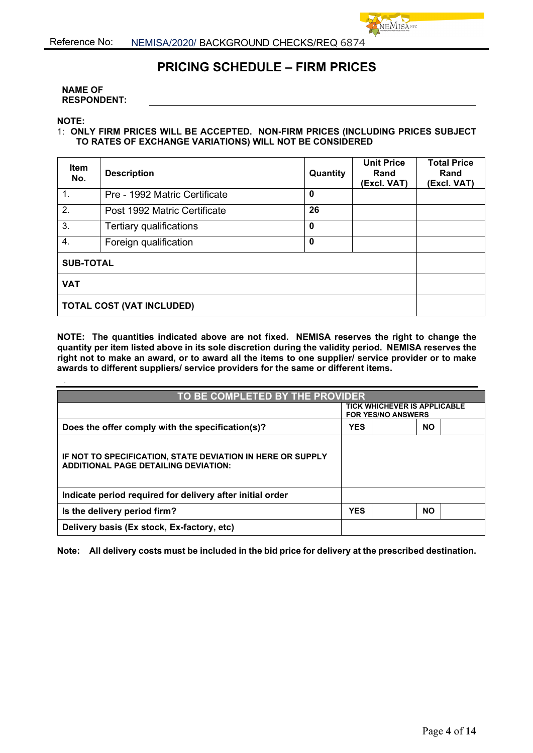

 $VEM$ ISA NPC

#### **NAME OF RESPONDENT:**

**NOTE:**

#### 1: **ONLY FIRM PRICES WILL BE ACCEPTED. NON-FIRM PRICES (INCLUDING PRICES SUBJECT TO RATES OF EXCHANGE VARIATIONS) WILL NOT BE CONSIDERED**

| <b>Item</b><br>No.               | <b>Description</b>            | Quantity    | <b>Unit Price</b><br>Rand<br>(Excl. VAT) | <b>Total Price</b><br>Rand<br>(Excl. VAT) |
|----------------------------------|-------------------------------|-------------|------------------------------------------|-------------------------------------------|
| $\mathbf{1}$ .                   | Pre - 1992 Matric Certificate | $\mathbf 0$ |                                          |                                           |
| 2.                               | Post 1992 Matric Certificate  | 26          |                                          |                                           |
| 3.                               | Tertiary qualifications       | $\mathbf 0$ |                                          |                                           |
| $\overline{4}$ .                 | Foreign qualification         | $\mathbf 0$ |                                          |                                           |
| <b>SUB-TOTAL</b>                 |                               |             |                                          |                                           |
| <b>VAT</b>                       |                               |             |                                          |                                           |
| <b>TOTAL COST (VAT INCLUDED)</b> |                               |             |                                          |                                           |

**NOTE: The quantities indicated above are not fixed. NEMISA reserves the right to change the quantity per item listed above in its sole discretion during the validity period. NEMISA reserves the right not to make an award, or to award all the items to one supplier/ service provider or to make awards to different suppliers/ service providers for the same or different items.**

| TO BE COMPLETED BY THE PROVIDER                                                                           |            |                                                                  |           |  |
|-----------------------------------------------------------------------------------------------------------|------------|------------------------------------------------------------------|-----------|--|
|                                                                                                           |            | <b>TICK WHICHEVER IS APPLICABLE</b><br><b>FOR YES/NO ANSWERS</b> |           |  |
| Does the offer comply with the specification(s)?                                                          | <b>YES</b> |                                                                  | <b>NO</b> |  |
| IF NOT TO SPECIFICATION, STATE DEVIATION IN HERE OR SUPPLY<br><b>ADDITIONAL PAGE DETAILING DEVIATION:</b> |            |                                                                  |           |  |
| Indicate period required for delivery after initial order                                                 |            |                                                                  |           |  |
| Is the delivery period firm?                                                                              | <b>YES</b> |                                                                  | <b>NO</b> |  |
| Delivery basis (Ex stock, Ex-factory, etc)                                                                |            |                                                                  |           |  |

**Note: All delivery costs must be included in the bid price for delivery at the prescribed destination.**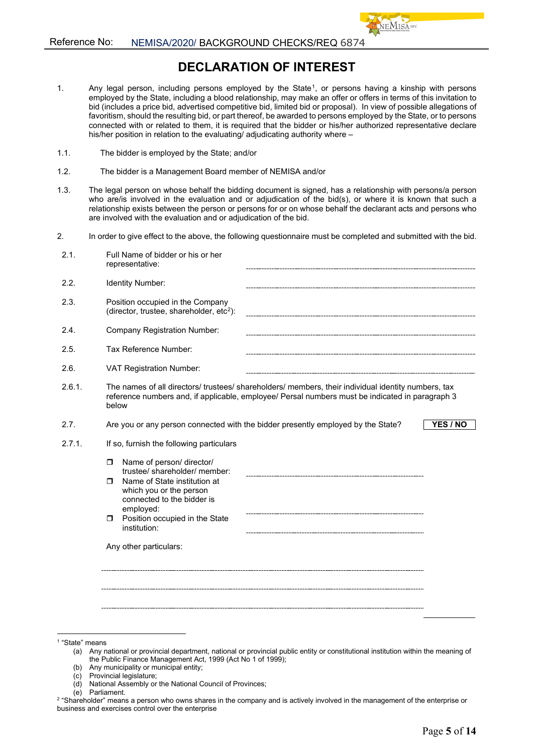# **DECLARATION OF INTEREST**

- 1. Any legal person, including persons employed by the State<sup>1</sup>, or persons having a kinship with persons employed by the State, including a blood relationship, may make an offer or offers in terms of this invitation to bid (includes a price bid, advertised competitive bid, limited bid or proposal). In view of possible allegations of favoritism, should the resulting bid, or part thereof, be awarded to persons employed by the State, or to persons connected with or related to them, it is required that the bidder or his/her authorized representative declare his/her position in relation to the evaluating/ adjudicating authority where –
- 1.1. The bidder is employed by the State; and/or
- 1.2. The bidder is a Management Board member of NEMISA and/or
- 1.3. The legal person on whose behalf the bidding document is signed, has a relationship with persons/a person who are/is involved in the evaluation and or adjudication of the bid(s), or where it is known that such a relationship exists between the person or persons for or on whose behalf the declarant acts and persons who are involved with the evaluation and or adjudication of the bid.
- 2. In order to give effect to the above, the following questionnaire must be completed and submitted with the bid.

| 2.1.   | Full Name of bidder or his or her<br>representative:                                                                                                                                                                                        |
|--------|---------------------------------------------------------------------------------------------------------------------------------------------------------------------------------------------------------------------------------------------|
| 2.2.   | Identity Number:                                                                                                                                                                                                                            |
| 2.3.   | Position occupied in the Company<br>(director, trustee, shareholder, etc <sup>2</sup> ):                                                                                                                                                    |
| 2.4.   | <b>Company Registration Number:</b>                                                                                                                                                                                                         |
| 2.5.   | Tax Reference Number:                                                                                                                                                                                                                       |
| 2.6.   | <b>VAT Registration Number:</b>                                                                                                                                                                                                             |
| 2.6.1. | The names of all directors/ trustees/ shareholders/ members, their individual identity numbers, tax<br>reference numbers and, if applicable, employee/ Persal numbers must be indicated in paragraph 3<br>below                             |
| 2.7.   | Are you or any person connected with the bidder presently employed by the State?<br>YES / NO                                                                                                                                                |
| 2.7.1. | If so, furnish the following particulars                                                                                                                                                                                                    |
|        | Name of person/ director/<br>$\Box$<br>trustee/ shareholder/ member:<br>Name of State institution at<br>п<br>which you or the person<br>connected to the bidder is<br>employed:<br>Position occupied in the State<br>$\Box$<br>institution: |
|        | Any other particulars:                                                                                                                                                                                                                      |
|        |                                                                                                                                                                                                                                             |

(b) Any municipality or municipal entity;

- (d) National Assembly or the National Council of Provinces;
- (e) Parliament.

<span id="page-4-0"></span><sup>1</sup> "State" means

<sup>(</sup>a) Any national or provincial department, national or provincial public entity or constitutional institution within the meaning of the Public Finance Management Act, 1999 (Act No 1 of 1999);

<sup>(</sup>c) Provincial legislature;

<span id="page-4-1"></span><sup>&</sup>lt;sup>2</sup> "Shareholder" means a person who owns shares in the company and is actively involved in the management of the enterprise or business and exercises control over the enterprise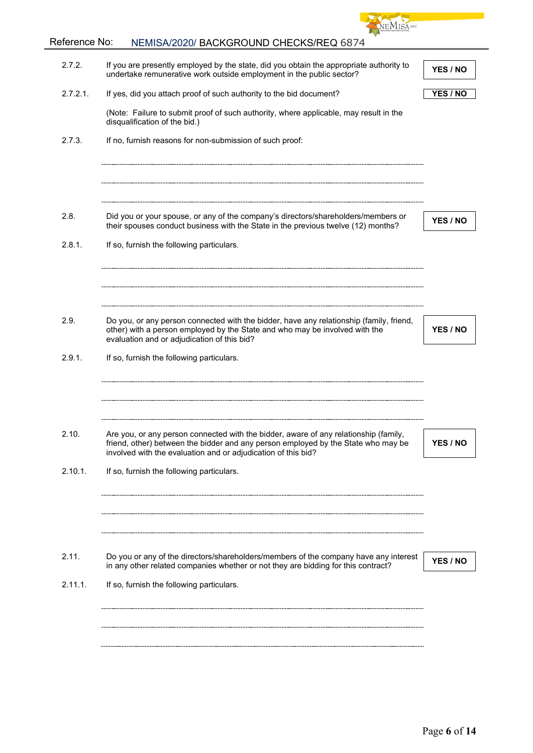

# Reference No: NEMISA/2020/ BACKGROUND CHECKS/REQ 6874

| 2.7.2.      | If you are presently employed by the state, did you obtain the appropriate authority to<br>undertake remunerative work outside employment in the public sector?                                                                            | YES / NO |
|-------------|--------------------------------------------------------------------------------------------------------------------------------------------------------------------------------------------------------------------------------------------|----------|
| $2.7.2.1$ . | If yes, did you attach proof of such authority to the bid document?                                                                                                                                                                        | YES / NO |
|             | (Note: Failure to submit proof of such authority, where applicable, may result in the<br>disqualification of the bid.)                                                                                                                     |          |
| 2.7.3.      | If no, furnish reasons for non-submission of such proof:                                                                                                                                                                                   |          |
|             |                                                                                                                                                                                                                                            |          |
| 2.8.        | Did you or your spouse, or any of the company's directors/shareholders/members or                                                                                                                                                          | YES / NO |
| 2.8.1.      | their spouses conduct business with the State in the previous twelve (12) months?<br>If so, furnish the following particulars.                                                                                                             |          |
|             |                                                                                                                                                                                                                                            |          |
| 2.9.        | Do you, or any person connected with the bidder, have any relationship (family, friend,<br>other) with a person employed by the State and who may be involved with the                                                                     | YES / NO |
|             | evaluation and or adjudication of this bid?                                                                                                                                                                                                |          |
| 2.9.1.      | If so, furnish the following particulars.                                                                                                                                                                                                  |          |
|             |                                                                                                                                                                                                                                            |          |
| 2.10.       | Are you, or any person connected with the bidder, aware of any relationship (family,<br>friend, other) between the bidder and any person employed by the State who may be<br>involved with the evaluation and or adiudication of this bid? | YES / NO |
| 2.10.1.     | If so, furnish the following particulars.                                                                                                                                                                                                  |          |
|             |                                                                                                                                                                                                                                            |          |
| 2.11.       | Do you or any of the directors/shareholders/members of the company have any interest<br>in any other related companies whether or not they are bidding for this contract?                                                                  | YES / NO |
| 2.11.1.     | If so, furnish the following particulars.                                                                                                                                                                                                  |          |
|             |                                                                                                                                                                                                                                            |          |
|             |                                                                                                                                                                                                                                            |          |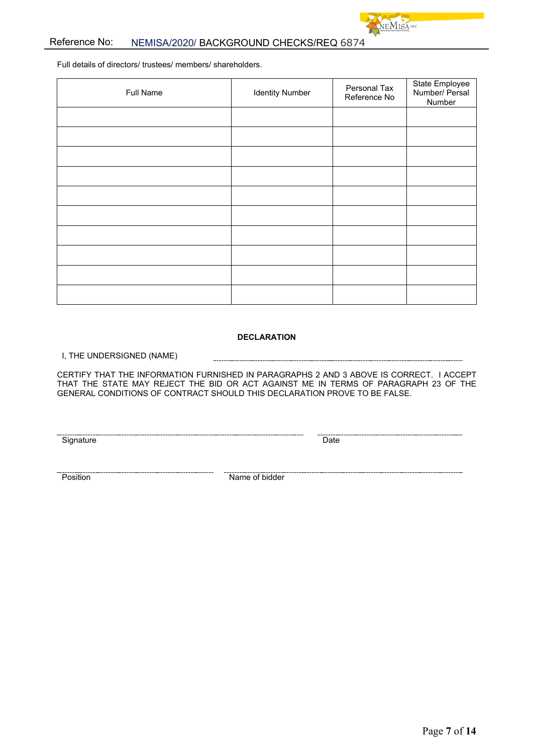

## Reference No: NEMISA/2020/ BACKGROUND CHECKS/REQ 6874

Full details of directors/ trustees/ members/ shareholders.

| Full Name | <b>Identity Number</b> | Personal Tax<br>Reference No | State Employee<br>Number/ Persal<br>Number |
|-----------|------------------------|------------------------------|--------------------------------------------|
|           |                        |                              |                                            |
|           |                        |                              |                                            |
|           |                        |                              |                                            |
|           |                        |                              |                                            |
|           |                        |                              |                                            |
|           |                        |                              |                                            |
|           |                        |                              |                                            |
|           |                        |                              |                                            |
|           |                        |                              |                                            |
|           |                        |                              |                                            |

#### **DECLARATION**

I, THE UNDERSIGNED (NAME)

CERTIFY THAT THE INFORMATION FURNISHED IN PARAGRAPHS 2 AND 3 ABOVE IS CORRECT. I ACCEPT THAT THE STATE MAY REJECT THE BID OR ACT AGAINST ME IN TERMS OF PARAGRAPH 23 OF THE GENERAL CONDITIONS OF CONTRACT SHOULD THIS DECLARATION PROVE TO BE FALSE.

Signature Date

Position Name of bidder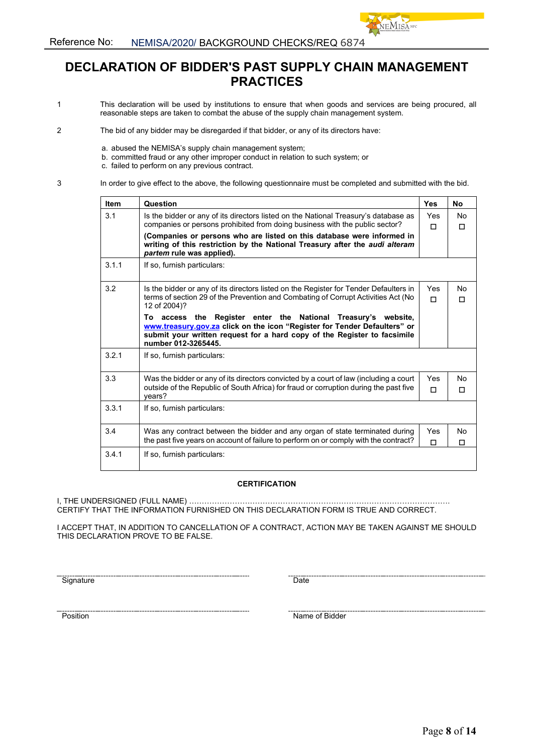

VEMISA NPC

- 1 This declaration will be used by institutions to ensure that when goods and services are being procured, all reasonable steps are taken to combat the abuse of the supply chain management system.
- 2 The bid of any bidder may be disregarded if that bidder, or any of its directors have:
	- a. abused the NEMISA's supply chain management system;
	- b. committed fraud or any other improper conduct in relation to such system; or
		- c. failed to perform on any previous contract.
- 3 In order to give effect to the above, the following questionnaire must be completed and submitted with the bid.

| <b>Item</b> | Question                                                                                                                                                                                                                                      | <b>Yes</b>      | No      |
|-------------|-----------------------------------------------------------------------------------------------------------------------------------------------------------------------------------------------------------------------------------------------|-----------------|---------|
| 3.1         | Is the bidder or any of its directors listed on the National Treasury's database as<br>companies or persons prohibited from doing business with the public sector?                                                                            | <b>Yes</b><br>П | No<br>п |
|             | (Companies or persons who are listed on this database were informed in<br>writing of this restriction by the National Treasury after the audi alteram<br>partem rule was applied).                                                            |                 |         |
| 3.1.1       | If so, furnish particulars:                                                                                                                                                                                                                   |                 |         |
| 3.2         | Is the bidder or any of its directors listed on the Register for Tender Defaulters in<br>terms of section 29 of the Prevention and Combating of Corrupt Activities Act (No<br>12 of 2004)?                                                    | Yes<br>п        | No<br>П |
|             | To access the Register enter the National Treasury's website,<br>www.treasury.gov.za click on the icon "Register for Tender Defaulters" or<br>submit your written request for a hard copy of the Register to facsimile<br>number 012-3265445. |                 |         |
| 3.2.1       | If so, furnish particulars:                                                                                                                                                                                                                   |                 |         |
| 3.3         | Was the bidder or any of its directors convicted by a court of law (including a court<br>outside of the Republic of South Africa) for fraud or corruption during the past five<br>vears?                                                      | Yes<br>п        | No<br>П |
| 3.3.1       | If so, furnish particulars:                                                                                                                                                                                                                   |                 |         |
| 3.4         | Was any contract between the bidder and any organ of state terminated during<br>the past five years on account of failure to perform on or comply with the contract?                                                                          | Yes<br>П        | No<br>п |
| 3.4.1       | If so, furnish particulars:                                                                                                                                                                                                                   |                 |         |

#### **CERTIFICATION**

I, THE UNDERSIGNED (FULL NAME) …………………………………………………………………………………………. CERTIFY THAT THE INFORMATION FURNISHED ON THIS DECLARATION FORM IS TRUE AND CORRECT.

I ACCEPT THAT, IN ADDITION TO CANCELLATION OF A CONTRACT, ACTION MAY BE TAKEN AGAINST ME SHOULD THIS DECLARATION PROVE TO BE FALSE.

Signature Date

Position Name of Bidder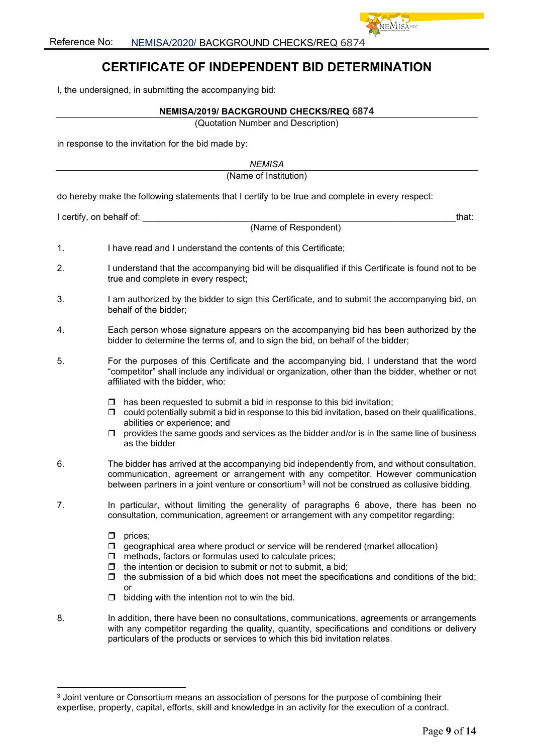

I, the undersigned, in submitting the accompanying bid:

#### **NEMISA/2019/ BACKGROUND CHECKS/REQ 6874**

(Quotation Number and Description)

in response to the invitation for the bid made by:

*NEMISA*

(Name of Institution)

do hereby make the following statements that I certify to be true and complete in every respect:

I certify, on behalf of: with a state of the state of the state of the state of the state of the state of the state of the state of the state of the state of the state of the state of the state of the state of the state of

- 1. I have read and I understand the contents of this Certificate;
- 2. I understand that the accompanying bid will be disqualified if this Certificate is found not to be true and complete in every respect;

(Name of Respondent)

- 3. I am authorized by the bidder to sign this Certificate, and to submit the accompanying bid, on behalf of the bidder;
- 4. Each person whose signature appears on the accompanying bid has been authorized by the bidder to determine the terms of, and to sign the bid, on behalf of the bidder;
- 5. For the purposes of this Certificate and the accompanying bid, I understand that the word "competitor" shall include any individual or organization, other than the bidder, whether or not affiliated with the bidder, who:
	- $\Box$  has been requested to submit a bid in response to this bid invitation;
	- $\Box$  could potentially submit a bid in response to this bid invitation, based on their qualifications, abilities or experience; and
	- $\Box$  provides the same goods and services as the bidder and/or is in the same line of business as the bidder
- 6. The bidder has arrived at the accompanying bid independently from, and without consultation, communication, agreement or arrangement with any competitor. However communication between partners in a joint venture or consortium<sup>[3](#page-8-0)</sup> will not be construed as collusive bidding.
- 7. In particular, without limiting the generality of paragraphs 6 above, there has been no consultation, communication, agreement or arrangement with any competitor regarding:
	- $\Box$  prices:
	- $\Box$  geographical area where product or service will be rendered (market allocation)
	- $\Box$  methods, factors or formulas used to calculate prices;
	- $\Box$  the intention or decision to submit or not to submit, a bid;
	- $\Box$  the submission of a bid which does not meet the specifications and conditions of the bid; or
	- $\Box$  bidding with the intention not to win the bid.
- 8. In addition, there have been no consultations, communications, agreements or arrangements with any competitor regarding the quality, quantity, specifications and conditions or delivery particulars of the products or services to which this bid invitation relates.

<span id="page-8-0"></span><sup>&</sup>lt;sup>3</sup> Joint venture or Consortium means an association of persons for the purpose of combining their expertise, property, capital, efforts, skill and knowledge in an activity for the execution of a contract.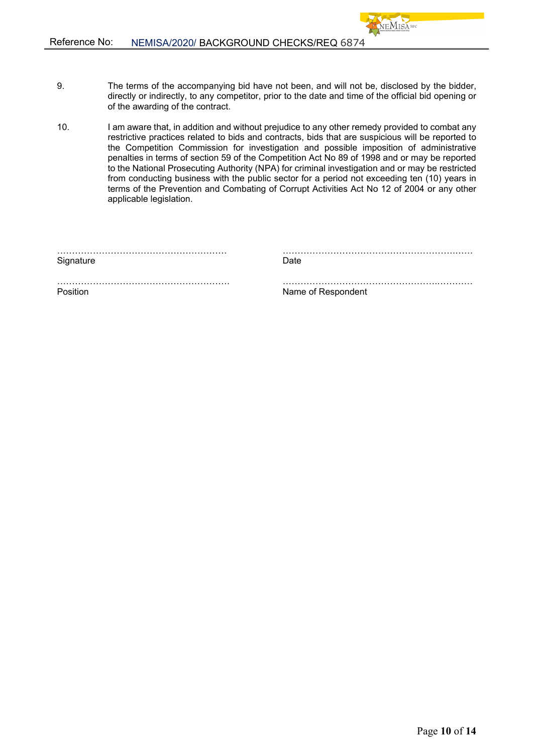9. The terms of the accompanying bid have not been, and will not be, disclosed by the bidder, directly or indirectly, to any competitor, prior to the date and time of the official bid opening or of the awarding of the contract.

**JEMISA** NPC

10. I am aware that, in addition and without prejudice to any other remedy provided to combat any restrictive practices related to bids and contracts, bids that are suspicious will be reported to the Competition Commission for investigation and possible imposition of administrative penalties in terms of section 59 of the Competition Act No 89 of 1998 and or may be reported to the National Prosecuting Authority (NPA) for criminal investigation and or may be restricted from conducting business with the public sector for a period not exceeding ten (10) years in terms of the Prevention and Combating of Corrupt Activities Act No 12 of 2004 or any other applicable legislation.

| Signature | Date               |
|-----------|--------------------|
|           |                    |
| Position  | Name of Respondent |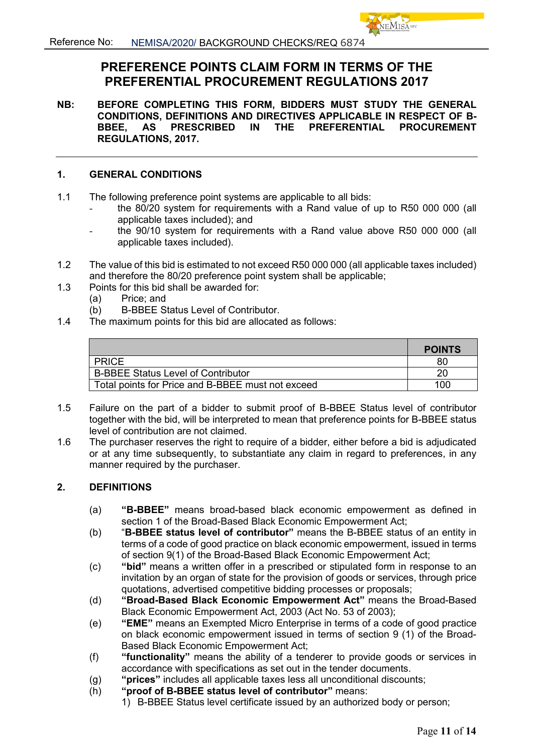# **PREFERENCE POINTS CLAIM FORM IN TERMS OF THE PREFERENTIAL PROCUREMENT REGULATIONS 2017**

**NB: BEFORE COMPLETING THIS FORM, BIDDERS MUST STUDY THE GENERAL CONDITIONS, DEFINITIONS AND DIRECTIVES APPLICABLE IN RESPECT OF B-BBEE, AS PRESCRIBED IN THE PREFERENTIAL PROCUREMENT REGULATIONS, 2017.** 

## **1. GENERAL CONDITIONS**

- 1.1 The following preference point systems are applicable to all bids:
	- the 80/20 system for requirements with a Rand value of up to R50 000 000 (all applicable taxes included); and
	- the 90/10 system for requirements with a Rand value above R50 000 000 (all applicable taxes included).
- 1.2 The value of this bid is estimated to not exceed R50 000 000 (all applicable taxes included) and therefore the 80/20 preference point system shall be applicable;
- 1.3 Points for this bid shall be awarded for:
	-
	- (a) Price; and<br>(b) B-BBEE S (b) B-BBEE Status Level of Contributor.
- 1.4 The maximum points for this bid are allocated as follows:

|                                                   | <b>POINTS</b> |
|---------------------------------------------------|---------------|
| <b>PRICE</b>                                      | 80            |
| <b>B-BBEE Status Level of Contributor</b>         | 20            |
| Total points for Price and B-BBEE must not exceed | 100           |

- 1.5 Failure on the part of a bidder to submit proof of B-BBEE Status level of contributor together with the bid, will be interpreted to mean that preference points for B-BBEE status level of contribution are not claimed.
- 1.6 The purchaser reserves the right to require of a bidder, either before a bid is adjudicated or at any time subsequently, to substantiate any claim in regard to preferences, in any manner required by the purchaser.

## **2. DEFINITIONS**

- (a) **"B-BBEE"** means broad-based black economic empowerment as defined in section 1 of the Broad-Based Black Economic Empowerment Act;
- (b) "**B-BBEE status level of contributor"** means the B-BBEE status of an entity in terms of a code of good practice on black economic empowerment, issued in terms of section 9(1) of the Broad-Based Black Economic Empowerment Act;
- (c) **"bid"** means a written offer in a prescribed or stipulated form in response to an invitation by an organ of state for the provision of goods or services, through price quotations, advertised competitive bidding processes or proposals;
- (d) **"Broad-Based Black Economic Empowerment Act"** means the Broad-Based Black Economic Empowerment Act, 2003 (Act No. 53 of 2003);
- (e) **"EME"** means an Exempted Micro Enterprise in terms of a code of good practice on black economic empowerment issued in terms of section 9 (1) of the Broad-Based Black Economic Empowerment Act;
- (f) **"functionality"** means the ability of a tenderer to provide goods or services in accordance with specifications as set out in the tender documents.
- (g) **"prices"** includes all applicable taxes less all unconditional discounts;
- (h) **"proof of B-BBEE status level of contributor"** means:
	- 1) B-BBEE Status level certificate issued by an authorized body or person;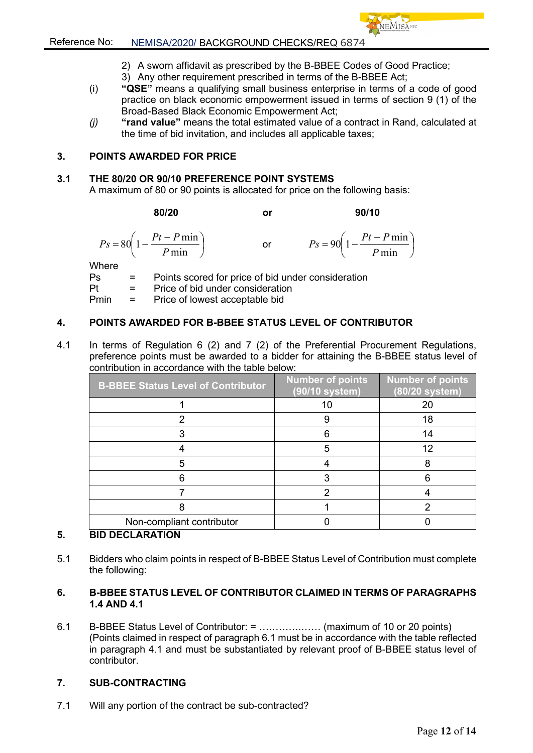- 2) A sworn affidavit as prescribed by the B-BBEE Codes of Good Practice;
- 3) Any other requirement prescribed in terms of the B-BBEE Act;
- (i) **"QSE"** means a qualifying small business enterprise in terms of a code of good practice on black economic empowerment issued in terms of section 9 (1) of the Broad-Based Black Economic Empowerment Act;
- *(j)* **"rand value"** means the total estimated value of a contract in Rand, calculated at the time of bid invitation, and includes all applicable taxes;

## **3. POINTS AWARDED FOR PRICE**

## **3.1 THE 80/20 OR 90/10 PREFERENCE POINT SYSTEMS**

A maximum of 80 or 90 points is allocated for price on the following basis:

**80/20 or 90/10**

 $\bigg)$ 

*P*

 $\overline{\phantom{a}}$ J  $\left(1-\frac{Pt-P\min}{R}\right)$  $=80\left(1-\frac{Pt-P\min P}{\min}\right)$ *P*  $P_s = 80\left(1 - \frac{Pt - P \min}{R} \right)$  or  $P_s = 90\left(1 - \frac{Pt - P \min}{R} \right)$  $\left(1-\frac{Pt-P\min}{R}\right)$  $= 90 \left(1 - \frac{Pt - P \min}{P \min}\right)$  $P_s = 90 \left( 1 - \frac{Pt - P}{R} \right)$ 

Where

 $Ps =$  Points scored for price of bid under consideration<br>Pt = Price of bid under consideration  $=$  Price of bid under consideration

Pmin = Price of lowest acceptable bid

## **4. POINTS AWARDED FOR B-BBEE STATUS LEVEL OF CONTRIBUTOR**

4.1 In terms of Regulation 6 (2) and 7 (2) of the Preferential Procurement Regulations, preference points must be awarded to a bidder for attaining the B-BBEE status level of contribution in accordance with the table below:

| <b>B-BBEE Status Level of Contributor</b> | <b>Number of points</b><br>(90/10 system) | <b>Number of points</b><br>(80/20 system) |
|-------------------------------------------|-------------------------------------------|-------------------------------------------|
|                                           |                                           | 20                                        |
|                                           | 9                                         | 18                                        |
|                                           | 6                                         | 14                                        |
|                                           | 5                                         | 12                                        |
|                                           |                                           |                                           |
|                                           | 3                                         | 6                                         |
|                                           |                                           |                                           |
|                                           |                                           |                                           |
| Non-compliant contributor                 |                                           |                                           |

## **5. BID DECLARATION**

5.1 Bidders who claim points in respect of B-BBEE Status Level of Contribution must complete the following:

## **6. B-BBEE STATUS LEVEL OF CONTRIBUTOR CLAIMED IN TERMS OF PARAGRAPHS 1.4 AND 4.1**

6.1 B-BBEE Status Level of Contributor: = ………….…… (maximum of 10 or 20 points) (Points claimed in respect of paragraph 6.1 must be in accordance with the table reflected in paragraph 4.1 and must be substantiated by relevant proof of B-BBEE status level of contributor.

## **7. SUB-CONTRACTING**

7.1 Will any portion of the contract be sub-contracted?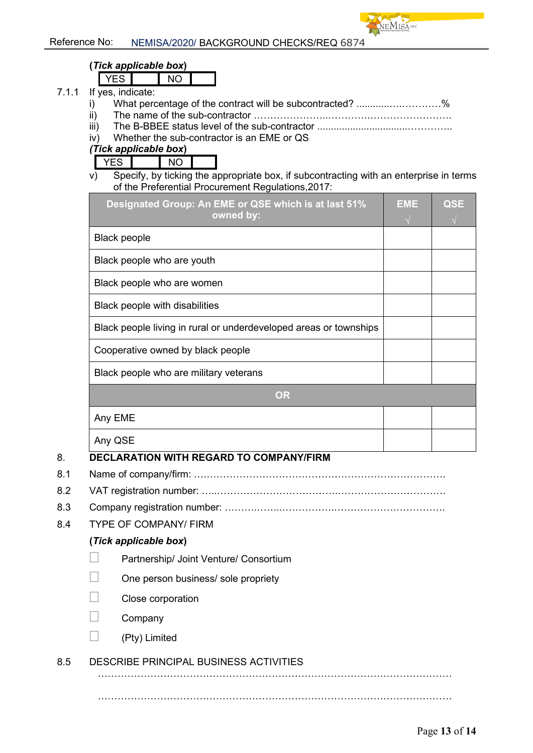

# **(***Tick applicable box***)**

YES NO

- 7.1.1 If yes, indicate:
	- i) What percentage of the contract will be subcontracted? ..........................%
	- ii) The name of the sub-contractor …………………..………….…………………….
	- iii) The B-BBEE status level of the sub-contractor .................................…………..
	- iv) Whether the sub-contractor is an EME or QS

## *(Tick applicable box***)**

YES NO

v) Specify, by ticking the appropriate box, if subcontracting with an enterprise in terms of the Preferential Procurement Regulations,2017:

| Designated Group: An EME or QSE which is at last 51%<br>owned by: | <b>EME</b> | <b>QSE</b> |  |  |
|-------------------------------------------------------------------|------------|------------|--|--|
| <b>Black people</b>                                               |            |            |  |  |
| Black people who are youth                                        |            |            |  |  |
| Black people who are women                                        |            |            |  |  |
| Black people with disabilities                                    |            |            |  |  |
| Black people living in rural or underdeveloped areas or townships |            |            |  |  |
| Cooperative owned by black people                                 |            |            |  |  |
| Black people who are military veterans                            |            |            |  |  |
| <b>OR</b>                                                         |            |            |  |  |
| Any EME                                                           |            |            |  |  |
| Any QSE                                                           |            |            |  |  |

# 8. **DECLARATION WITH REGARD TO COMPANY/FIRM**

- 8.1 Name of company/firm: ….……………………………………………………………….
- 8.2 VAT registration number: …..……………………………….……………………………
- 8.3 Company registration number: ……….……..…………….…………………………….
- 8.4 TYPE OF COMPANY/ FIRM

## **(***Tick applicable box***)**

- Partnership/ Joint Venture/ Consortium
- One person business/ sole propriety
- Close corporation
- Company
- $\Box$  (Pty) Limited

# 8.5 DESCRIBE PRINCIPAL BUSINESS ACTIVITIES

………………………………………………………………………………………………

………………………………………………………………………………………………